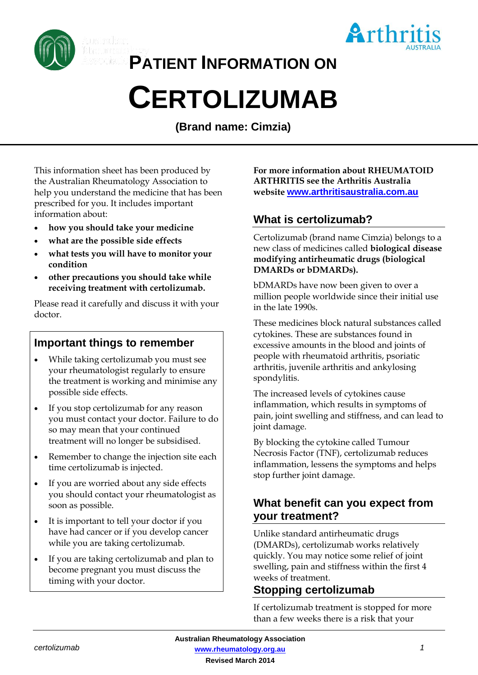

**PATIENT INFORMATION ON**

# **CERTOLIZUMAB**

**(Brand name: Cimzia)**

This information sheet has been produced by the Australian Rheumatology Association to help you understand the medicine that has been prescribed for you. It includes important information about:

- **how you should take your medicine**
- **what are the possible side effects**
- **what tests you will have to monitor your condition**
- **other precautions you should take while receiving treatment with certolizumab.**

Please read it carefully and discuss it with your doctor.

# **Important things to remember**

- While taking certolizumab you must see your rheumatologist regularly to ensure the treatment is working and minimise any possible side effects.
- If you stop certolizumab for any reason you must contact your doctor. Failure to do so may mean that your continued treatment will no longer be subsidised.
- Remember to change the injection site each time certolizumab is injected.
- If you are worried about any side effects you should contact your rheumatologist as soon as possible.
- It is important to tell your doctor if you have had cancer or if you develop cancer while you are taking certolizumab.
- If you are taking certolizumab and plan to become pregnant you must discuss the timing with your doctor.

**For more information about RHEUMATOID ARTHRITIS see the Arthritis Australia website [www.arthritisaustralia.com.au](http://www.arthritisaustralia.com.au/)**

Arthr

# **What is certolizumab?**

Certolizumab (brand name Cimzia) belongs to a new class of medicines called **biological disease modifying antirheumatic drugs (biological DMARDs or bDMARDs).** 

bDMARDs have now been given to over a million people worldwide since their initial use in the late 1990s.

These medicines block natural substances called cytokines. These are substances found in excessive amounts in the blood and joints of people with rheumatoid arthritis, psoriatic arthritis, juvenile arthritis and ankylosing spondylitis.

The increased levels of cytokines cause inflammation, which results in symptoms of pain, joint swelling and stiffness, and can lead to joint damage.

By blocking the cytokine called Tumour Necrosis Factor (TNF), certolizumab reduces inflammation, lessens the symptoms and helps stop further joint damage.

# **What benefit can you expect from your treatment?**

Unlike standard antirheumatic drugs (DMARDs), certolizumab works relatively quickly. You may notice some relief of joint swelling, pain and stiffness within the first 4 weeks of treatment.

# **Stopping certolizumab**

If certolizumab treatment is stopped for more than a few weeks there is a risk that your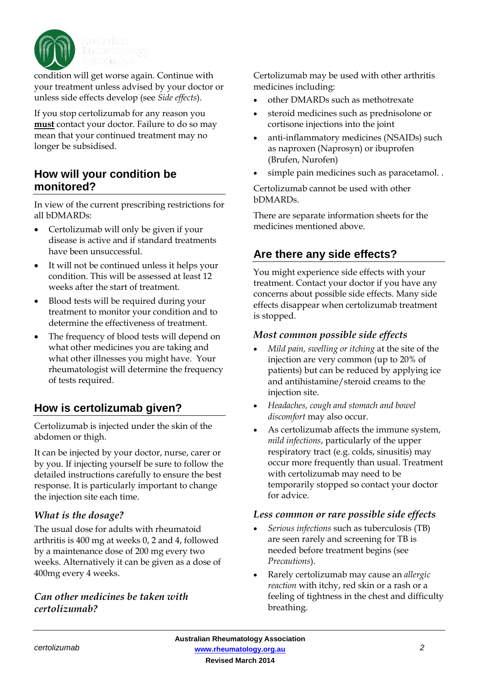

condition will get worse again. Continue with your treatment unless advised by your doctor or unless side effects develop (see *Side effects*).

If you stop certolizumab for any reason you **must** contact your doctor. Failure to do so may mean that your continued treatment may no longer be subsidised.

## **How will your condition be monitored?**

In view of the current prescribing restrictions for all bDMARDs:

- Certolizumab will only be given if your disease is active and if standard treatments have been unsuccessful.
- It will not be continued unless it helps your condition. This will be assessed at least 12 weeks after the start of treatment.
- Blood tests will be required during your treatment to monitor your condition and to determine the effectiveness of treatment.
- The frequency of blood tests will depend on what other medicines you are taking and what other illnesses you might have. Your rheumatologist will determine the frequency of tests required.

# **How is certolizumab given?**

Certolizumab is injected under the skin of the abdomen or thigh.

It can be injected by your doctor, nurse, carer or by you. If injecting yourself be sure to follow the detailed instructions carefully to ensure the best response. It is particularly important to change the injection site each time.

#### *What is the dosage?*

The usual dose for adults with rheumatoid arthritis is 400 mg at weeks 0, 2 and 4, followed by a maintenance dose of 200 mg every two weeks. Alternatively it can be given as a dose of 400mg every 4 weeks.

#### *Can other medicines be taken with certolizumab?*

Certolizumab may be used with other arthritis medicines including:

- other DMARDs such as methotrexate
- steroid medicines such as prednisolone or cortisone injections into the joint
- anti-inflammatory medicines (NSAIDs) such as naproxen (Naprosyn) or ibuprofen (Brufen, Nurofen)
- simple pain medicines such as paracetamol..

Certolizumab cannot be used with other bDMARDs.

There are separate information sheets for the medicines mentioned above.

# **Are there any side effects?**

You might experience side effects with your treatment. Contact your doctor if you have any concerns about possible side effects. Many side effects disappear when certolizumab treatment is stopped.

#### *Most common possible side effects*

- *Mild pain, swelling or itching* at the site of the injection are very common (up to 20% of patients) but can be reduced by applying ice and antihistamine/steroid creams to the injection site.
- *Headaches, cough and stomach and bowel discomfort* may also occur.
- As certolizumab affects the immune system, *mild infections*, particularly of the upper respiratory tract (e.g. colds, sinusitis) may occur more frequently than usual. Treatment with certolizumab may need to be temporarily stopped so contact your doctor for advice.

#### *Less common or rare possible side effects*

- *Serious infections* such as tuberculosis (TB) are seen rarely and screening for TB is needed before treatment begins (see *Precautions*).
- Rarely certolizumab may cause an *allergic reaction* with itchy, red skin or a rash or a feeling of tightness in the chest and difficulty breathing.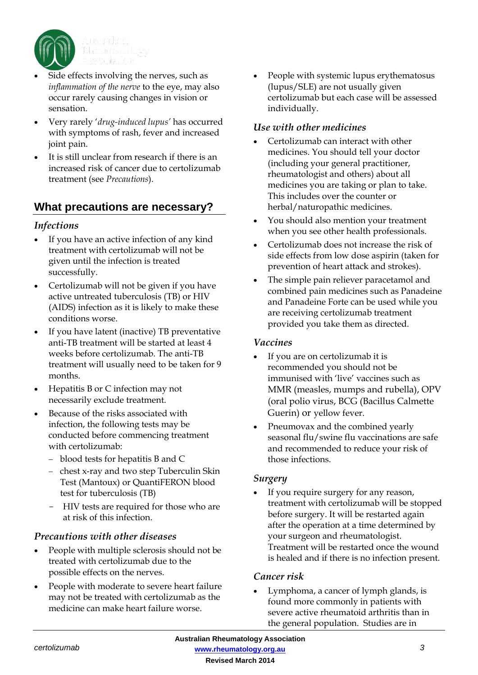

- Side effects involving the nerves, such as *inflammation of the nerve* to the eye, may also occur rarely causing changes in vision or sensation.
- Very rarely '*drug-induced lupus'* has occurred with symptoms of rash, fever and increased joint pain.
- It is still unclear from research if there is an increased risk of cancer due to certolizumab treatment (see *Precautions*).

# **What precautions are necessary?**

#### *Infections*

- If you have an active infection of any kind treatment with certolizumab will not be given until the infection is treated successfully.
- Certolizumab will not be given if you have active untreated tuberculosis (TB) or HIV (AIDS) infection as it is likely to make these conditions worse.
- If you have latent (inactive) TB preventative anti-TB treatment will be started at least 4 weeks before certolizumab. The anti-TB treatment will usually need to be taken for 9 months.
- Hepatitis B or C infection may not necessarily exclude treatment.
- Because of the risks associated with infection, the following tests may be conducted before commencing treatment with certolizumab:
	- blood tests for hepatitis B and C
	- chest x-ray and two step Tuberculin Skin Test (Mantoux) or QuantiFERON blood test for tuberculosis (TB)
	- HIV tests are required for those who are at risk of this infection.

#### *Precautions with other diseases*

- People with multiple sclerosis should not be treated with certolizumab due to the possible effects on the nerves.
- People with moderate to severe heart failure may not be treated with certolizumab as the medicine can make heart failure worse.

• People with systemic lupus erythematosus (lupus/SLE) are not usually given certolizumab but each case will be assessed individually.

#### *Use with other medicines*

- Certolizumab can interact with other medicines. You should tell your doctor (including your general practitioner, rheumatologist and others) about all medicines you are taking or plan to take. This includes over the counter or herbal/naturopathic medicines.
- You should also mention your treatment when you see other health professionals.
- Certolizumab does not increase the risk of side effects from low dose aspirin (taken for prevention of heart attack and strokes).
- The simple pain reliever paracetamol and combined pain medicines such as Panadeine and Panadeine Forte can be used while you are receiving certolizumab treatment provided you take them as directed.

#### *Vaccines*

- If you are on certolizumab it is recommended you should not be immunised with 'live' vaccines such as MMR (measles, mumps and rubella), OPV (oral polio virus, BCG (Bacillus Calmette Guerin) or yellow fever.
- Pneumovax and the combined yearly seasonal flu/swine flu vaccinations are safe and recommended to reduce your risk of those infections.

#### *Surgery*

If you require surgery for any reason, treatment with certolizumab will be stopped before surgery. It will be restarted again after the operation at a time determined by your surgeon and rheumatologist. Treatment will be restarted once the wound is healed and if there is no infection present.

#### *Cancer risk*

• Lymphoma, a cancer of lymph glands, is found more commonly in patients with severe active rheumatoid arthritis than in the general population. Studies are in